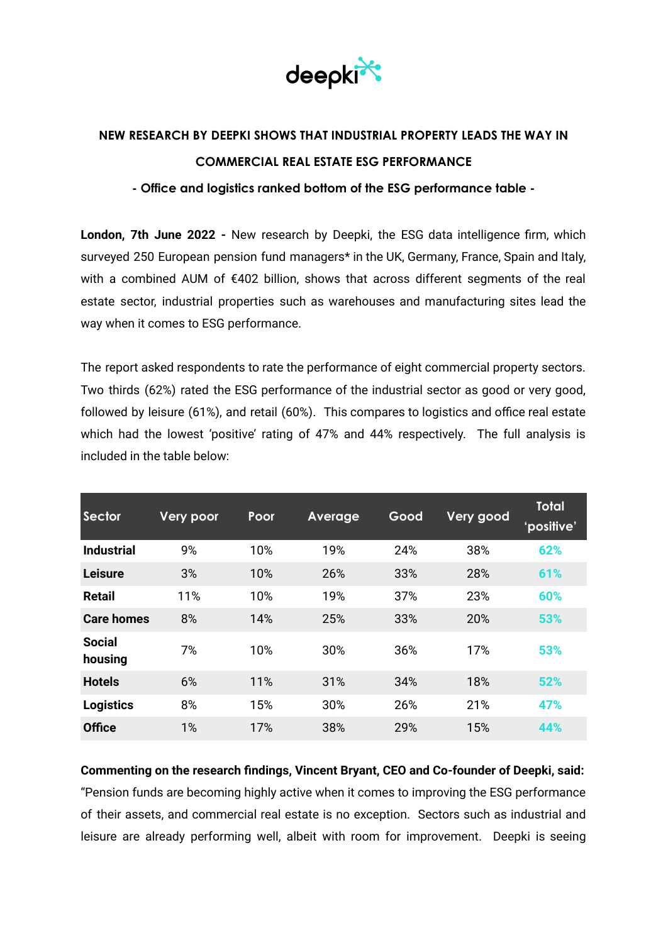

## **NEW RESEARCH BY DEEPKI SHOWS THAT INDUSTRIAL PROPERTY LEADS THE WAY IN COMMERCIAL REAL ESTATE ESG PERFORMANCE**

## **- Office and logistics ranked bottom of the ESG performance table -**

**London, 7th June 2022 -** New research by Deepki, the ESG data intelligence firm, which surveyed 250 European pension fund managers\* in the UK, Germany, France, Spain and Italy, with a combined AUM of €402 billion, shows that across different segments of the real estate sector, industrial properties such as warehouses and manufacturing sites lead the way when it comes to ESG performance.

The report asked respondents to rate the performance of eight commercial property sectors. Two thirds (62%) rated the ESG performance of the industrial sector as good or very good, followed by leisure (61%), and retail (60%). This compares to logistics and office real estate which had the lowest 'positive' rating of 47% and 44% respectively. The full analysis is included in the table below:

| Sector                   | <b>Very poor</b> | Poor | Average | Good | Very good | Total<br>'positive' |
|--------------------------|------------------|------|---------|------|-----------|---------------------|
| <b>Industrial</b>        | 9%               | 10%  | 19%     | 24%  | 38%       | 62%                 |
| <b>Leisure</b>           | 3%               | 10%  | 26%     | 33%  | 28%       | 61%                 |
| <b>Retail</b>            | 11%              | 10%  | 19%     | 37%  | 23%       | 60%                 |
| <b>Care homes</b>        | 8%               | 14%  | 25%     | 33%  | 20%       | 53%                 |
| <b>Social</b><br>housing | 7%               | 10%  | 30%     | 36%  | 17%       | 53%                 |
| <b>Hotels</b>            | 6%               | 11%  | 31%     | 34%  | 18%       | 52%                 |
| <b>Logistics</b>         | 8%               | 15%  | 30%     | 26%  | 21%       | 47%                 |
| <b>Office</b>            | 1%               | 17%  | 38%     | 29%  | 15%       | 44%                 |

**Commenting on the research findings, Vincent Bryant, CEO and Co-founder of Deepki, said:**

"Pension funds are becoming highly active when it comes to improving the ESG performance of their assets, and commercial real estate is no exception. Sectors such as industrial and leisure are already performing well, albeit with room for improvement. Deepki is seeing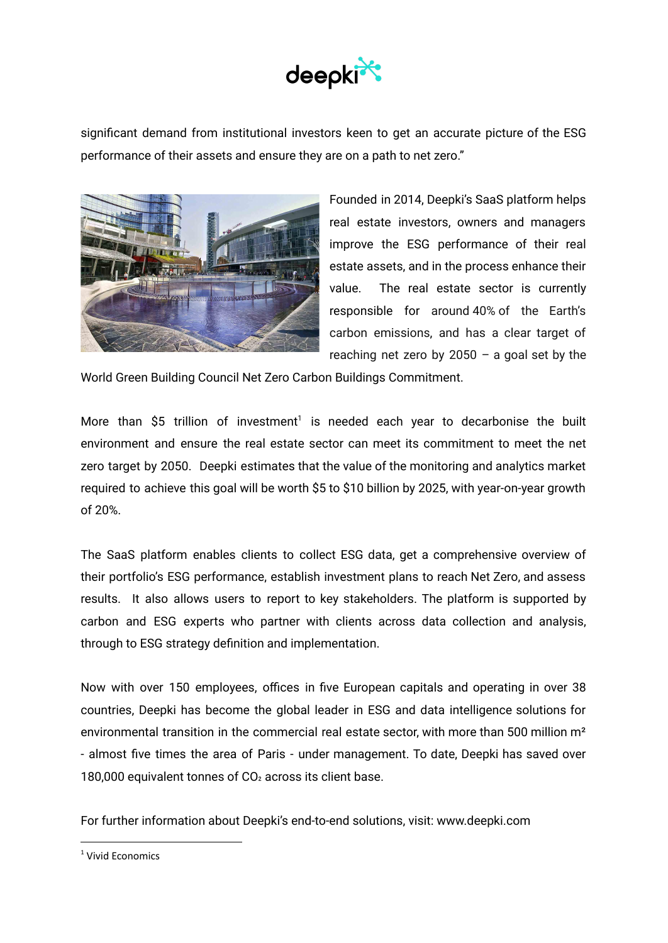

significant demand from institutional investors keen to get an accurate picture of the ESG performance of their assets and ensure they are on a path to net zero."



Founded in 2014, Deepki's SaaS platform helps real estate investors, owners and managers improve the ESG performance of their real estate assets, and in the process enhance their value. The real estate sector is currently responsible for around 40% of the Earth's carbon emissions, and has a clear target of reaching net zero by 2050  $-$  a goal set by the

World Green Building Council Net Zero Carbon Buildings Commitment.

More than \$5 trillion of investment<sup>1</sup> is needed each year to decarbonise the built environment and ensure the real estate sector can meet its commitment to meet the net zero target by 2050. Deepki estimates that the value of the monitoring and analytics market required to achieve this goal will be worth \$5 to \$10 billion by 2025, with year-on-year growth of 20%.

The SaaS platform enables clients to collect ESG data, get a comprehensive overview of their portfolio's ESG performance, establish investment plans to reach Net Zero, and assess results. It also allows users to report to key stakeholders. The platform is supported by carbon and ESG experts who partner with clients across data collection and analysis, through to ESG strategy definition and implementation.

Now with over 150 employees, offices in five European capitals and operating in over 38 countries, Deepki has become the global leader in ESG and data intelligence solutions for environmental transition in the commercial real estate sector, with more than 500 million m<sup>2</sup> - almost five times the area of Paris - under management. To date, Deepki has saved over 180,000 equivalent tonnes of CO<sub>2</sub> across its client base.

For further information about Deepki's end-to-end solutions, visit: www.deepki.com

<sup>&</sup>lt;sup>1</sup> Vivid Fronomics